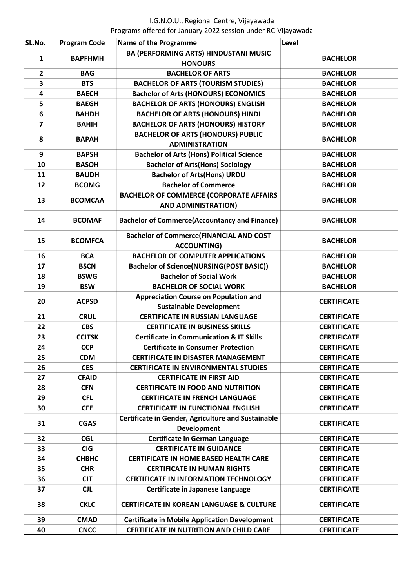| SL.No.         | <b>Program Code</b> | <b>Name of the Programme</b>                                             | Level              |
|----------------|---------------------|--------------------------------------------------------------------------|--------------------|
| $\mathbf{1}$   | <b>BAPFHMH</b>      | <b>BA (PERFORMING ARTS) HINDUSTANI MUSIC</b>                             | <b>BACHELOR</b>    |
|                |                     | <b>HONOURS</b>                                                           |                    |
| $\overline{2}$ | <b>BAG</b>          | <b>BACHELOR OF ARTS</b>                                                  | <b>BACHELOR</b>    |
| 3              | <b>BTS</b>          | <b>BACHELOR OF ARTS (TOURISM STUDIES)</b>                                | <b>BACHELOR</b>    |
| 4              | <b>BAECH</b>        | <b>Bachelor of Arts (HONOURS) ECONOMICS</b>                              | <b>BACHELOR</b>    |
| 5              | <b>BAEGH</b>        | <b>BACHELOR OF ARTS (HONOURS) ENGLISH</b>                                | <b>BACHELOR</b>    |
| 6              | <b>BAHDH</b>        | <b>BACHELOR OF ARTS (HONOURS) HINDI</b>                                  | <b>BACHELOR</b>    |
| $\overline{7}$ | <b>BAHIH</b>        | <b>BACHELOR OF ARTS (HONOURS) HISTORY</b>                                | <b>BACHELOR</b>    |
| 8              | <b>BAPAH</b>        | <b>BACHELOR OF ARTS (HONOURS) PUBLIC</b><br><b>ADMINISTRATION</b>        | <b>BACHELOR</b>    |
| 9              | <b>BAPSH</b>        | <b>Bachelor of Arts (Hons) Political Science</b>                         | <b>BACHELOR</b>    |
| 10             | <b>BASOH</b>        | <b>Bachelor of Arts(Hons) Sociology</b>                                  | <b>BACHELOR</b>    |
| 11             | <b>BAUDH</b>        | <b>Bachelor of Arts(Hons) URDU</b>                                       | <b>BACHELOR</b>    |
| 12             | <b>BCOMG</b>        | <b>Bachelor of Commerce</b>                                              | <b>BACHELOR</b>    |
|                |                     | <b>BACHELOR OF COMMERCE (CORPORATE AFFAIRS</b>                           |                    |
| 13             | <b>BCOMCAA</b>      | <b>AND ADMINISTRATION)</b>                                               | <b>BACHELOR</b>    |
| 14             | <b>BCOMAF</b>       | <b>Bachelor of Commerce(Accountancy and Finance)</b>                     | <b>BACHELOR</b>    |
| 15             | <b>BCOMFCA</b>      | <b>Bachelor of Commerce(FINANCIAL AND COST</b><br><b>ACCOUNTING)</b>     | <b>BACHELOR</b>    |
| 16             | <b>BCA</b>          | <b>BACHELOR OF COMPUTER APPLICATIONS</b>                                 | <b>BACHELOR</b>    |
| 17             | <b>BSCN</b>         | Bachelor of Science(NURSING(POST BASIC))                                 | <b>BACHELOR</b>    |
| 18             | <b>BSWG</b>         | <b>Bachelor of Social Work</b>                                           | <b>BACHELOR</b>    |
| 19             | <b>BSW</b>          | <b>BACHELOR OF SOCIAL WORK</b>                                           | <b>BACHELOR</b>    |
|                |                     | <b>Appreciation Course on Population and</b>                             | <b>CERTIFICATE</b> |
| 20             | <b>ACPSD</b>        | <b>Sustainable Development</b>                                           |                    |
| 21             | <b>CRUL</b>         | <b>CERTIFICATE IN RUSSIAN LANGUAGE</b>                                   | <b>CERTIFICATE</b> |
| 22             | <b>CBS</b>          | <b>CERTIFICATE IN BUSINESS SKILLS</b>                                    | <b>CERTIFICATE</b> |
| 23             | <b>CCITSK</b>       | <b>Certificate in Communication &amp; IT Skills</b>                      | <b>CERTIFICATE</b> |
| 24             | <b>CCP</b>          | <b>Certificate in Consumer Protection</b>                                | <b>CERTIFICATE</b> |
| 25             | <b>CDM</b>          | <b>CERTIFICATE IN DISASTER MANAGEMENT</b>                                | <b>CERTIFICATE</b> |
| 26             | <b>CES</b>          | <b>CERTIFICATE IN ENVIRONMENTAL STUDIES</b>                              | <b>CERTIFICATE</b> |
| 27             | <b>CFAID</b>        | <b>CERTIFICATE IN FIRST AID</b>                                          | <b>CERTIFICATE</b> |
| 28             | <b>CFN</b>          | <b>CERTIFICATE IN FOOD AND NUTRITION</b>                                 | <b>CERTIFICATE</b> |
| 29             | <b>CFL</b>          | <b>CERTIFICATE IN FRENCH LANGUAGE</b>                                    | <b>CERTIFICATE</b> |
| 30             | <b>CFE</b>          | <b>CERTIFICATE IN FUNCTIONAL ENGLISH</b>                                 | <b>CERTIFICATE</b> |
| 31             | <b>CGAS</b>         | Certificate in Gender, Agriculture and Sustainable<br><b>Development</b> | <b>CERTIFICATE</b> |
| 32             | <b>CGL</b>          | <b>Certificate in German Language</b>                                    | <b>CERTIFICATE</b> |
| 33             | <b>CIG</b>          | <b>CERTIFICATE IN GUIDANCE</b>                                           | <b>CERTIFICATE</b> |
| 34             | <b>СНВНС</b>        | <b>CERTIFICATE IN HOME BASED HEALTH CARE</b>                             | <b>CERTIFICATE</b> |
| 35             | <b>CHR</b>          | <b>CERTIFICATE IN HUMAN RIGHTS</b>                                       | <b>CERTIFICATE</b> |
| 36             | <b>CIT</b>          | <b>CERTIFICATE IN INFORMATION TECHNOLOGY</b>                             | <b>CERTIFICATE</b> |
| 37             | <b>CJL</b>          | Certificate in Japanese Language                                         | <b>CERTIFICATE</b> |
| 38             | <b>CKLC</b>         | <b>CERTIFICATE IN KOREAN LANGUAGE &amp; CULTURE</b>                      | <b>CERTIFICATE</b> |
| 39             | <b>CMAD</b>         | <b>Certificate in Mobile Application Development</b>                     | <b>CERTIFICATE</b> |
| 40             | <b>CNCC</b>         | <b>CERTIFICATE IN NUTRITION AND CHILD CARE</b>                           | <b>CERTIFICATE</b> |
|                |                     |                                                                          |                    |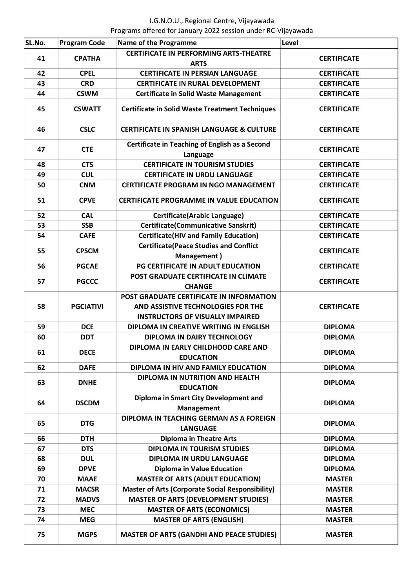| SL.No. | <b>Program Code</b> | <b>Name of the Programme</b>                                                                                              | Level              |
|--------|---------------------|---------------------------------------------------------------------------------------------------------------------------|--------------------|
| 41     | <b>CPATHA</b>       | <b>CERTIFICATE IN PERFORMING ARTS-THEATRE</b>                                                                             | <b>CERTIFICATE</b> |
|        |                     | <b>ARTS</b>                                                                                                               |                    |
| 42     | <b>CPEL</b>         | <b>CERTIFICATE IN PERSIAN LANGUAGE</b>                                                                                    | <b>CERTIFICATE</b> |
| 43     | <b>CRD</b>          | <b>CERTIFICATE IN RURAL DEVELOPMENT</b>                                                                                   | <b>CERTIFICATE</b> |
| 44     | <b>CSWM</b>         | <b>Certificate in Solid Waste Management</b>                                                                              | <b>CERTIFICATE</b> |
| 45     | <b>CSWATT</b>       | <b>Certificate in Solid Waste Treatment Techniques</b>                                                                    | <b>CERTIFICATE</b> |
| 46     | <b>CSLC</b>         | <b>CERTIFICATE IN SPANISH LANGUAGE &amp; CULTURE</b>                                                                      | <b>CERTIFICATE</b> |
| 47     | <b>CTE</b>          | <b>Certificate in Teaching of English as a Second</b><br>Language                                                         | <b>CERTIFICATE</b> |
| 48     | <b>CTS</b>          | <b>CERTIFICATE IN TOURISM STUDIES</b>                                                                                     | <b>CERTIFICATE</b> |
| 49     | <b>CUL</b>          | <b>CERTIFICATE IN URDU LANGUAGE</b>                                                                                       | <b>CERTIFICATE</b> |
| 50     | <b>CNM</b>          | <b>CERTIFICATE PROGRAM IN NGO MANAGEMENT</b>                                                                              | <b>CERTIFICATE</b> |
| 51     | <b>CPVE</b>         | <b>CERTIFICATE PROGRAMME IN VALUE EDUCATION</b>                                                                           | <b>CERTIFICATE</b> |
| 52     | <b>CAL</b>          | <b>Certificate(Arabic Language)</b>                                                                                       | <b>CERTIFICATE</b> |
| 53     | <b>SSB</b>          | <b>Certificate(Communicative Sanskrit)</b>                                                                                | <b>CERTIFICATE</b> |
| 54     | <b>CAFE</b>         | <b>Certificate(HIV and Family Education)</b>                                                                              | <b>CERTIFICATE</b> |
| 55     | <b>CPSCM</b>        | <b>Certificate(Peace Studies and Conflict</b><br>Management)                                                              | <b>CERTIFICATE</b> |
| 56     | <b>PGCAE</b>        | PG CERTIFICATE IN ADULT EDUCATION                                                                                         | <b>CERTIFICATE</b> |
| 57     | <b>PGCCC</b>        | POST GRADUATE CERTIFICATE IN CLIMATE<br><b>CHANGE</b>                                                                     | <b>CERTIFICATE</b> |
| 58     | <b>PGCIATIVI</b>    | POST GRADUATE CERTIFICATE IN INFORMATION<br>AND ASSISTIVE TECHNOLOGIES FOR THE<br><b>INSTRUCTORS OF VISUALLY IMPAIRED</b> | <b>CERTIFICATE</b> |
| 59     | <b>DCE</b>          | <b>DIPLOMA IN CREATIVE WRITING IN ENGLISH</b>                                                                             | <b>DIPLOMA</b>     |
| 60     | <b>DDT</b>          | DIPLOMA IN DAIRY TECHNOLOGY                                                                                               | <b>DIPLOMA</b>     |
| 61     | <b>DECE</b>         | DIPLOMA IN EARLY CHILDHOOD CARE AND<br><b>EDUCATION</b>                                                                   | <b>DIPLOMA</b>     |
| 62     | <b>DAFE</b>         | DIPLOMA IN HIV AND FAMILY EDUCATION                                                                                       | <b>DIPLOMA</b>     |
| 63     | <b>DNHE</b>         | DIPLOMA IN NUTRITION AND HEALTH<br><b>EDUCATION</b>                                                                       | <b>DIPLOMA</b>     |
| 64     | <b>DSCDM</b>        | Diploma in Smart City Development and<br><b>Management</b>                                                                | <b>DIPLOMA</b>     |
| 65     | <b>DTG</b>          | DIPLOMA IN TEACHING GERMAN AS A FOREIGN<br><b>LANGUAGE</b>                                                                | <b>DIPLOMA</b>     |
| 66     | <b>DTH</b>          | <b>Diploma in Theatre Arts</b>                                                                                            | <b>DIPLOMA</b>     |
| 67     | <b>DTS</b>          | <b>DIPLOMA IN TOURISM STUDIES</b>                                                                                         | <b>DIPLOMA</b>     |
| 68     | <b>DUL</b>          | <b>DIPLOMA IN URDU LANGUAGE</b>                                                                                           | <b>DIPLOMA</b>     |
| 69     | <b>DPVE</b>         | <b>Diploma in Value Education</b>                                                                                         | <b>DIPLOMA</b>     |
| 70     | <b>MAAE</b>         | <b>MASTER OF ARTS (ADULT EDUCATION)</b>                                                                                   | <b>MASTER</b>      |
| 71     | <b>MACSR</b>        | <b>Master of Arts (Corporate Social Responsibility)</b>                                                                   | <b>MASTER</b>      |
| 72     | <b>MADVS</b>        | <b>MASTER OF ARTS (DEVELOPMENT STUDIES)</b>                                                                               | <b>MASTER</b>      |
| 73     | <b>MEC</b>          | <b>MASTER OF ARTS (ECONOMICS)</b>                                                                                         | <b>MASTER</b>      |
| 74     | <b>MEG</b>          | <b>MASTER OF ARTS (ENGLISH)</b>                                                                                           | <b>MASTER</b>      |
| 75     | <b>MGPS</b>         | <b>MASTER OF ARTS (GANDHI AND PEACE STUDIES)</b>                                                                          | <b>MASTER</b>      |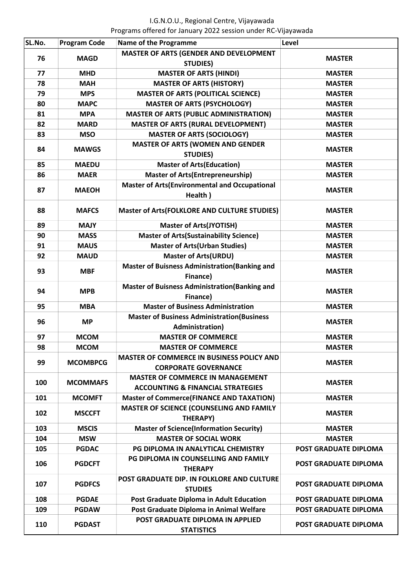| SL.No. | <b>Program Code</b> | <b>Name of the Programme</b>                                                            | Level                        |
|--------|---------------------|-----------------------------------------------------------------------------------------|------------------------------|
| 76     |                     | MASTER OF ARTS (GENDER AND DEVELOPMENT                                                  |                              |
|        | <b>MAGD</b>         | <b>STUDIES)</b>                                                                         | <b>MASTER</b>                |
| 77     | <b>MHD</b>          | <b>MASTER OF ARTS (HINDI)</b>                                                           | <b>MASTER</b>                |
| 78     | <b>MAH</b>          | <b>MASTER OF ARTS (HISTORY)</b>                                                         | <b>MASTER</b>                |
| 79     | <b>MPS</b>          | <b>MASTER OF ARTS (POLITICAL SCIENCE)</b>                                               | <b>MASTER</b>                |
| 80     | <b>MAPC</b>         | <b>MASTER OF ARTS (PSYCHOLOGY)</b>                                                      | <b>MASTER</b>                |
| 81     | <b>MPA</b>          | <b>MASTER OF ARTS (PUBLIC ADMINISTRATION)</b>                                           | <b>MASTER</b>                |
| 82     | <b>MARD</b>         | <b>MASTER OF ARTS (RURAL DEVELOPMENT)</b>                                               | <b>MASTER</b>                |
| 83     | <b>MSO</b>          | <b>MASTER OF ARTS (SOCIOLOGY)</b>                                                       | <b>MASTER</b>                |
| 84     | <b>MAWGS</b>        | <b>MASTER OF ARTS (WOMEN AND GENDER</b>                                                 | <b>MASTER</b>                |
|        |                     | <b>STUDIES)</b>                                                                         |                              |
| 85     | <b>MAEDU</b>        | <b>Master of Arts (Education)</b>                                                       | <b>MASTER</b>                |
| 86     | <b>MAER</b>         | <b>Master of Arts(Entrepreneurship)</b>                                                 | <b>MASTER</b>                |
| 87     | <b>MAEOH</b>        | <b>Master of Arts(Environmental and Occupational</b><br>Health)                         | <b>MASTER</b>                |
| 88     | <b>MAFCS</b>        | <b>Master of Arts(FOLKLORE AND CULTURE STUDIES)</b>                                     | <b>MASTER</b>                |
| 89     | <b>MAJY</b>         | <b>Master of Arts(JYOTISH)</b>                                                          | <b>MASTER</b>                |
| 90     | <b>MASS</b>         | <b>Master of Arts (Sustainability Science)</b>                                          | <b>MASTER</b>                |
| 91     | <b>MAUS</b>         | <b>Master of Arts(Urban Studies)</b>                                                    | <b>MASTER</b>                |
| 92     | <b>MAUD</b>         | <b>Master of Arts(URDU)</b>                                                             | <b>MASTER</b>                |
| 93     | <b>MBF</b>          | <b>Master of Buisness Administration (Banking and</b><br>Finance)                       | <b>MASTER</b>                |
| 94     | <b>MPB</b>          | <b>Master of Buisness Administration (Banking and</b><br>Finance)                       | <b>MASTER</b>                |
| 95     | <b>MBA</b>          | <b>Master of Business Administration</b>                                                | <b>MASTER</b>                |
| 96     | <b>MP</b>           | <b>Master of Business Administration (Business</b>                                      | <b>MASTER</b>                |
|        |                     | Administration)                                                                         |                              |
| 97     | <b>MCOM</b>         | <b>MASTER OF COMMERCE</b>                                                               | <b>MASTER</b>                |
| 98     | <b>MCOM</b>         | <b>MASTER OF COMMERCE</b>                                                               | <b>MASTER</b>                |
| 99     | <b>MCOMBPCG</b>     | <b>MASTER OF COMMERCE IN BUSINESS POLICY AND</b><br><b>CORPORATE GOVERNANCE</b>         | <b>MASTER</b>                |
| 100    | <b>MCOMMAFS</b>     | <b>MASTER OF COMMERCE IN MANAGEMENT</b><br><b>ACCOUNTING &amp; FINANCIAL STRATEGIES</b> | <b>MASTER</b>                |
| 101    | <b>MCOMFT</b>       | <b>Master of Commerce (FINANCE AND TAXATION)</b>                                        | <b>MASTER</b>                |
| 102    | <b>MSCCFT</b>       | MASTER OF SCIENCE (COUNSELING AND FAMILY<br>THERAPY)                                    | <b>MASTER</b>                |
| 103    | <b>MSCIS</b>        | <b>Master of Science(Information Security)</b>                                          | <b>MASTER</b>                |
| 104    | <b>MSW</b>          | <b>MASTER OF SOCIAL WORK</b>                                                            | <b>MASTER</b>                |
| 105    | <b>PGDAC</b>        | PG DIPLOMA IN ANALYTICAL CHEMISTRY                                                      | <b>POST GRADUATE DIPLOMA</b> |
| 106    | <b>PGDCFT</b>       | PG DIPLOMA IN COUNSELLING AND FAMILY<br><b>THERAPY</b>                                  | POST GRADUATE DIPLOMA        |
| 107    | <b>PGDFCS</b>       | POST GRADUATE DIP. IN FOLKLORE AND CULTURE<br><b>STUDIES</b>                            | <b>POST GRADUATE DIPLOMA</b> |
| 108    | <b>PGDAE</b>        | Post Graduate Diploma in Adult Education                                                | POST GRADUATE DIPLOMA        |
| 109    | <b>PGDAW</b>        | Post Graduate Diploma in Animal Welfare                                                 | <b>POST GRADUATE DIPLOMA</b> |
| 110    | <b>PGDAST</b>       | POST GRADUATE DIPLOMA IN APPLIED<br><b>STATISTICS</b>                                   | <b>POST GRADUATE DIPLOMA</b> |